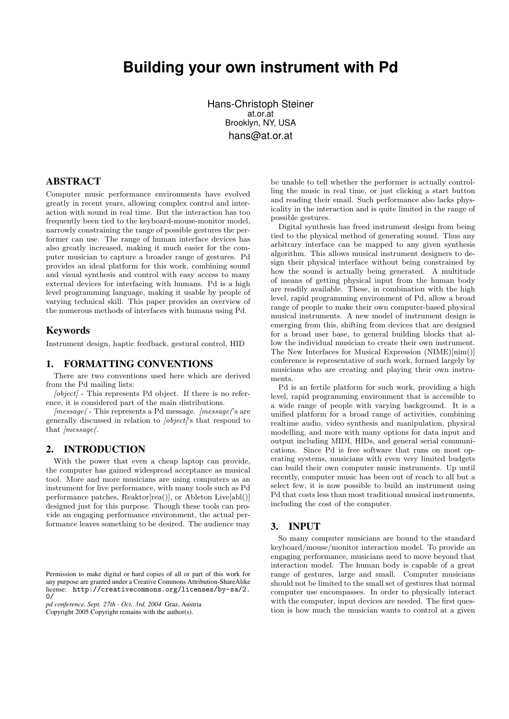# **Building your own instrument with Pd**

Hans-Christoph Steiner at.or.at Brooklyn, NY, USA hans@at.or.at

## ABSTRACT

Computer music performance environments have evolved greatly in recent years, allowing complex control and interaction with sound in real time. But the interaction has too frequently been tied to the keyboard-mouse-monitor model, narrowly constraining the range of possible gestures the performer can use. The range of human interface devices has also greatly increased, making it much easier for the computer musician to capture a broader range of gestures. Pd provides an ideal platform for this work, combining sound and visual synthesis and control with easy access to many external devices for interfacing with humans. Pd is a high level programming language, making it usable by people of varying technical skill. This paper provides an overview of the numerous methods of interfaces with humans using Pd.

### Keywords

Instrument design, haptic feedback, gestural control, HID

### 1. FORMATTING CONVENTIONS

There are two conventions used here which are derived from the Pd mailing lists:

 $[object]$  - This represents Pd object. If there is no reference, it is considered part of the main distributions.

 $[message]$  - This represents a Pd message.  $[message]$ 's are generally discussed in relation to [object]'s that respond to that *message*(.

# 2. INTRODUCTION

With the power that even a cheap laptop can provide, the computer has gained widespread acceptance as musical tool. More and more musicians are using computers as an instrument for live performance, with many tools such as Pd performance patches, Reaktor[rea()], or Ableton Live[abl()] designed just for this purpose. Though these tools can provide an engaging performance environment, the actual performance leaves something to be desired. The audience may

*pd conference, Sept. 27th - Oct. 3rd, 2004* Graz, Austria Copyright 2005 Copyright remains with the author(s).

be unable to tell whether the performer is actually controlling the music in real time, or just clicking a start button and reading their email. Such performance also lacks physicality in the interaction and is quite limited in the range of possible gestures.

Digital synthesis has freed instrument design from being tied to the physical method of generating sound. Thus any arbitrary interface can be mapped to any given synthesis algorithm. This allows musical instrument designers to design their physical interface without being constrained by how the sound is actually being generated. A multitude of means of getting physical input from the human body are readily available. These, in combination with the high level, rapid programming environment of Pd, allow a broad range of people to make their own computer-based physical musical instruments. A new model of instrument design is emerging from this, shifting from devices that are designed for a broad user base, to general building blocks that allow the individual musician to create their own instrument. The New Interfaces for Musical Expression (NIME)[nim()] conference is representative of such work, formed largely by musicians who are creating and playing their own instruments.

Pd is an fertile platform for such work, providing a high level, rapid programming environment that is accessible to a wide range of people with varying background. It is a unified platform for a broad range of activities, combining realtime audio, video synthesis and manipulation, physical modelling, and more with many options for data input and output including MIDI, HIDs, and general serial communications. Since Pd is free software that runs on most operating systems, musicians with even very limited budgets can build their own computer music instruments. Up until recently, computer music has been out of reach to all but a select few, it is now possible to build an instrument using Pd that costs less than most traditional musical instruments, including the cost of the computer.

# 3. INPUT

So many computer musicians are bound to the standard keyboard/mouse/monitor interaction model. To provide an engaging performance, musicians need to move beyond that interaction model. The human body is capable of a great range of gestures, large and small. Computer musicians should not be limited to the small set of gestures that normal computer use encompasses. In order to physically interact with the computer, input devices are needed. The first question is how much the musician wants to control at a given

Permission to make digital or hard copies of all or part of this work for any purpose are granted under a Creative Commons Attribution-ShareAlike license: http://creativecommons.org/licenses/by-sa/2.  $0/$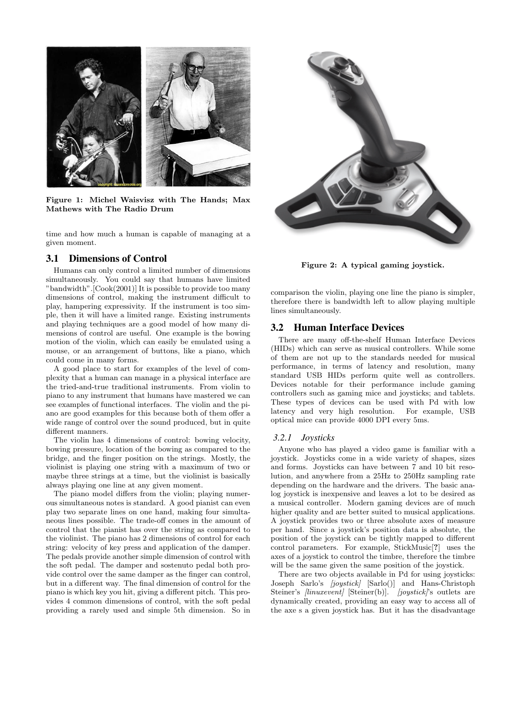

Figure 1: Michel Waisvisz with The Hands; Max Mathews with The Radio Drum

time and how much a human is capable of managing at a given moment.

# 3.1 Dimensions of Control

Humans can only control a limited number of dimensions simultaneously. You could say that humans have limited "bandwidth".[Cook(2001)] It is possible to provide too many dimensions of control, making the instrument difficult to play, hampering expressivity. If the instrument is too simple, then it will have a limited range. Existing instruments and playing techniques are a good model of how many dimensions of control are useful. One example is the bowing motion of the violin, which can easily be emulated using a mouse, or an arrangement of buttons, like a piano, which could come in many forms.

A good place to start for examples of the level of complexity that a human can manage in a physical interface are the tried-and-true traditional instruments. From violin to piano to any instrument that humans have mastered we can see examples of functional interfaces. The violin and the piano are good examples for this because both of them offer a wide range of control over the sound produced, but in quite different manners.

The violin has 4 dimensions of control: bowing velocity, bowing pressure, location of the bowing as compared to the bridge, and the finger position on the strings. Mostly, the violinist is playing one string with a maximum of two or maybe three strings at a time, but the violinist is basically always playing one line at any given moment.

The piano model differs from the violin; playing numerous simultaneous notes is standard. A good pianist can even play two separate lines on one hand, making four simultaneous lines possible. The trade-off comes in the amount of control that the pianist has over the string as compared to the violinist. The piano has 2 dimensions of control for each string: velocity of key press and application of the damper. The pedals provide another simple dimension of control with the soft pedal. The damper and sostenuto pedal both provide control over the same damper as the finger can control, but in a different way. The final dimension of control for the piano is which key you hit, giving a different pitch. This provides 4 common dimensions of control, with the soft pedal providing a rarely used and simple 5th dimension. So in



Figure 2: A typical gaming joystick.

comparison the violin, playing one line the piano is simpler, therefore there is bandwidth left to allow playing multiple lines simultaneously.

## 3.2 Human Interface Devices

There are many off-the-shelf Human Interface Devices (HIDs) which can serve as musical controllers. While some of them are not up to the standards needed for musical performance, in terms of latency and resolution, many standard USB HIDs perform quite well as controllers. Devices notable for their performance include gaming controllers such as gaming mice and joysticks; and tablets. These types of devices can be used with Pd with low latency and very high resolution. For example, USB optical mice can provide 4000 DPI every 5ms.

#### *3.2.1 Joysticks*

Anyone who has played a video game is familiar with a joystick. Joysticks come in a wide variety of shapes, sizes and forms. Joysticks can have between 7 and 10 bit resolution, and anywhere from a 25Hz to 250Hz sampling rate depending on the hardware and the drivers. The basic analog joystick is inexpensive and leaves a lot to be desired as a musical controller. Modern gaming devices are of much higher quality and are better suited to musical applications. A joystick provides two or three absolute axes of measure per hand. Since a joystick's position data is absolute, the position of the joystick can be tightly mapped to different control parameters. For example, StickMusic[?] uses the axes of a joystick to control the timbre, therefore the timbre will be the same given the same position of the joystick.

There are two objects available in Pd for using joysticks: Joseph Sarlo's [joystick] [Sarlo()] and Hans-Christoph Steiner's [linuxevent] [Steiner(b)]. [joystick]'s outlets are dynamically created, providing an easy way to access all of the axe s a given joystick has. But it has the disadvantage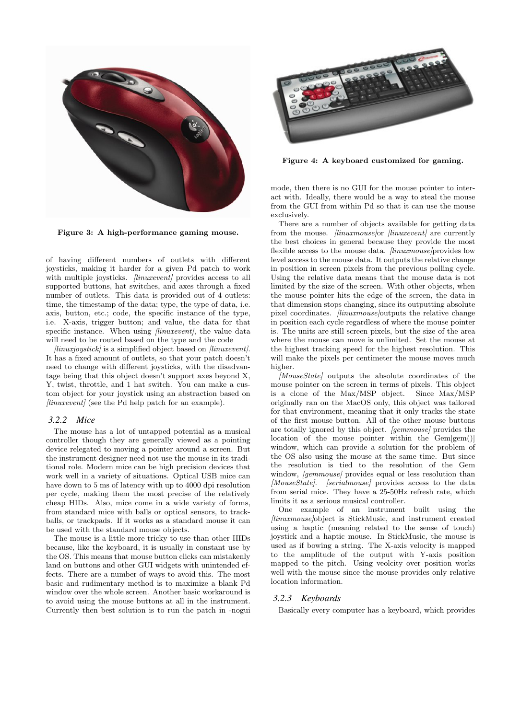

Figure 3: A high-performance gaming mouse.

of having different numbers of outlets with different joysticks, making it harder for a given Pd patch to work with multiple joysticks. *[linuxevent]* provides access to all supported buttons, hat switches, and axes through a fixed number of outlets. This data is provided out of 4 outlets: time, the timestamp of the data; type, the type of data, i.e. axis, button, etc.; code, the specific instance of the type, i.e. X-axis, trigger button; and value, the data for that specific instance. When using *[linuxevent]*, the value data will need to be routed based on the type and the code

 $\left\langle \frac{\partial u}{\partial x} \right\rangle$  is a simplified object based on  $\left\langle \frac{\partial u}{\partial y} \right\rangle$ . It has a fixed amount of outlets, so that your patch doesn't need to change with different joysticks, with the disadvantage being that this object doesn't support axes beyond X, Y, twist, throttle, and 1 hat switch. You can make a custom object for your joystick using an abstraction based on  $\text{linu}xevent$  (see the Pd help patch for an example).

#### *3.2.2 Mice*

The mouse has a lot of untapped potential as a musical controller though they are generally viewed as a pointing device relegated to moving a pointer around a screen. But the instrument designer need not use the mouse in its traditional role. Modern mice can be high precision devices that work well in a variety of situations. Optical USB mice can have down to 5 ms of latency with up to 4000 dpi resolution per cycle, making them the most precise of the relatively cheap HIDs. Also, mice come in a wide variety of forms, from standard mice with balls or optical sensors, to trackballs, or trackpads. If it works as a standard mouse it can be used with the standard mouse objects.

The mouse is a little more tricky to use than other HIDs because, like the keyboard, it is usually in constant use by the OS. This means that mouse button clicks can mistakenly land on buttons and other GUI widgets with unintended effects. There are a number of ways to avoid this. The most basic and rudimentary method is to maximize a blank Pd window over the whole screen. Another basic workaround is to avoid using the mouse buttons at all in the instrument. Currently then best solution is to run the patch in -nogui



Figure 4: A keyboard customized for gaming.

mode, then there is no GUI for the mouse pointer to interact with. Ideally, there would be a way to steal the mouse from the GUI from within Pd so that it can use the mouse exclusively.

There are a number of objects available for getting data from the mouse. *[linuxmouse]*or *[linuxevent]* are currently the best choices in general because they provide the most flexible access to the mouse data. *[linuxmouse]*provides low level access to the mouse data. It outputs the relative change in position in screen pixels from the previous polling cycle. Using the relative data means that the mouse data is not limited by the size of the screen. With other objects, when the mouse pointer hits the edge of the screen, the data in that dimension stops changing, since its outputting absolute pixel coordinates. [linuxmouse]outputs the relative change in position each cycle regardless of where the mouse pointer is. The units are still screen pixels, but the size of the area where the mouse can move is unlimited. Set the mouse at the highest tracking speed for the highest resolution. This will make the pixels per centimeter the mouse moves much higher.

[MouseState] outputs the absolute coordinates of the mouse pointer on the screen in terms of pixels. This object is a clone of the Max/MSP object. Since Max/MSP originally ran on the MacOS only, this object was tailored for that environment, meaning that it only tracks the state of the first mouse button. All of the other mouse buttons are totally ignored by this object. [gemmouse] provides the location of the mouse pointer within the Gem[gem()] window, which can provide a solution for the problem of the OS also using the mouse at the same time. But since the resolution is tied to the resolution of the Gem window, *[gemmouse]* provides equal or less resolution than [MouseState]. [serialmouse] provides access to the data from serial mice. They have a 25-50Hz refresh rate, which limits it as a serious musical controller.

One example of an instrument built using the [linuxmouse]object is StickMusic, and instrument created using a haptic (meaning related to the sense of touch) joystick and a haptic mouse. In StickMusic, the mouse is used as if bowing a string. The X-axis velocity is mapped to the amplitude of the output with Y-axis position mapped to the pitch. Using veolcity over position works well with the mouse since the mouse provides only relative location information.

#### *3.2.3 Keyboards*

Basically every computer has a keyboard, which provides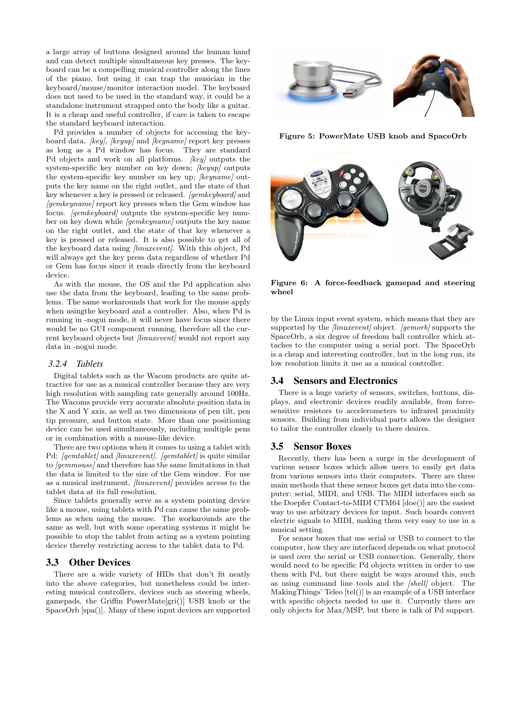a large array of buttons designed around the human hand and can detect multiple simultaneous key presses. The keyboard can be a compelling musical controller along the lines of the piano, but using it can trap the musician in the keyboard/mouse/monitor interaction model. The keyboard does not need to be used in the standard way, it could be a standalone instrument strapped onto the body like a guitar. It is a cheap and useful controller, if care is taken to escape the standard keyboard interaction.

Pd provides a number of objects for accessing the keyboard data. *[key]*, *[keyup]* and *[keyname]* report key presses as long as a Pd window has focus. They are standard Pd objects and work on all platforms. *[key]* outputs the system-specific key number on key down; [keyup] outputs the system-specific key number on key up; [keyname] outputs the key name on the right outlet, and the state of that key whenever a key is pressed or released. [gemkeyboard] and *laemkeynamel* report key presses when the Gem window has focus. [gemkeyboard] outputs the system-specific key number on key down while [gemkeyname] outputs the key name on the right outlet, and the state of that key whenever a key is pressed or released. It is also possible to get all of the keyboard data using *linuxeventl*. With this object, Pd will always get the key press data regardless of whether Pd or Gem has focus since it reads directly from the keyboard device.

As with the mouse, the OS and the Pd application also use the data from the keyboard, leading to the same problems. The same workarounds that work for the mouse apply when usingthe keyboard and a controller. Also, when Pd is running in -nogui mode, it will never have focus since there would be no GUI component running, therefore all the current keyboard objects but *[linuxevent]* would not report any data in -nogui mode.

#### *3.2.4 Tablets*

Digital tablets such as the Wacom products are quite attractive for use as a musical controller because they are very high resolution with sampling rate generally around 100Hz. The Wacoms provide very accurate absolute position data in the X and Y axis, as well as two dimensions of pen tilt, pen tip pressure, and button state. More than one positioning device can be used simultaneously, including multiple pens or in combination with a mouse-like device.

There are two options when it comes to using a tablet with Pd: [gemtablet] and [linuxevent]. [gemtablet] is quite similar to [gemmouse] and therefore has the same limitations in that the data is limited to the size of the Gem window. For use as a musical instrument, *[linuxevent]* provides access to the tablet data at its full resolution.

Since tablets generally serve as a system pointing device like a mouse, using tablets with Pd can cause the same problems as when using the mouse. The workarounds are the same as well, but with some operating systems it might be possible to stop the tablet from acting as a system pointing device thereby restricting access to the tablet data to Pd.

# 3.3 Other Devices

There are a wide variety of HIDs that don't fit neatly into the above categories, but nonetheless could be interesting musical controllers, devices such as steering wheels, gamepads, the Griffin PowerMate[gri()] USB knob or the SpaceOrb [spa()]. Many of these input devices are supported



Figure 5: PowerMate USB knob and SpaceOrb



Figure 6: A force-feedback gamepad and steering wheel

by the Linux input event system, which means that they are supported by the *[linuxevent]* object. *[gemorb]* supports the SpaceOrb, a six degree of freedom ball controller which attaches to the computer using a serial port. The SpaceOrb is a cheap and interesting controller, but in the long run, its low resolution limits it use as a musical controller.

### 3.4 Sensors and Electronics

There is a huge variety of sensors, switches, buttons, displays, and electronic devices readily available, from forcesensitive resistors to accelerometers to infrared proximity sensors. Building from individual parts allows the designer to tailor the controller closely to there desires.

#### 3.5 Sensor Boxes

Recently, there has been a surge in the development of various sensor boxes which allow users to easily get data from various sensors into their computers. There are three main methods that these sensor boxes get data into the computer: serial, MIDI, and USB. The MIDI interfaces such as the Doepfer Contact-to-MIDI CTM64 [doe()] are the easiest way to use arbitrary devices for input. Such boards convert electric signals to MIDI, making them very easy to use in a musical setting.

For sensor boxes that use serial or USB to connect to the computer, how they are interfaced depends on what protocol is used over the serial or USB connection. Generally, there would need to be specific Pd objects written in order to use them with Pd, but there might be ways around this, such as using command line tools and the [shell] object. The MakingThings' Teleo [tel()] is an example of a USB interface with specific objects needed to use it. Currently there are only objects for Max/MSP, but there is talk of Pd support.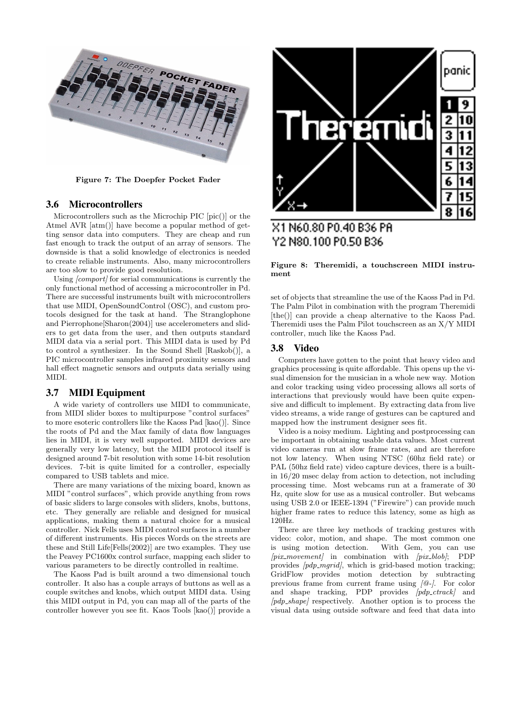

Figure 7: The Doepfer Pocket Fader

#### 3.6 Microcontrollers

Microcontrollers such as the Microchip PIC [pic()] or the Atmel AVR [atm()] have become a popular method of getting sensor data into computers. They are cheap and run fast enough to track the output of an array of sensors. The downside is that a solid knowledge of electronics is needed to create reliable instruments. Also, many microcontrollers are too slow to provide good resolution.

Using *[comport]* for serial communications is currently the only functional method of accessing a microcontroller in Pd. There are successful instruments built with microcontrollers that use MIDI, OpenSoundControl (OSC), and custom protocols designed for the task at hand. The Stranglophone and Pierrophone[Sharon(2004)] use accelerometers and sliders to get data from the user, and then outputs standard MIDI data via a serial port. This MIDI data is used by Pd to control a synthesizer. In the Sound Shell [Raskob()], a PIC microcontroller samples infrared proximity sensors and hall effect magnetic sensors and outputs data serially using MIDI.

## 3.7 MIDI Equipment

A wide variety of controllers use MIDI to communicate, from MIDI slider boxes to multipurpose "control surfaces" to more esoteric controllers like the Kaoss Pad [kao()]. Since the roots of Pd and the Max family of data flow languages lies in MIDI, it is very well supported. MIDI devices are generally very low latency, but the MIDI protocol itself is designed around 7-bit resolution with some 14-bit resolution devices. 7-bit is quite limited for a controller, especially compared to USB tablets and mice.

There are many variations of the mixing board, known as MIDI "control surfaces", which provide anything from rows of basic sliders to large consoles with sliders, knobs, buttons, etc. They generally are reliable and designed for musical applications, making them a natural choice for a musical controller. Nick Fells uses MIDI control surfaces in a number of different instruments. His pieces Words on the streets are these and Still Life[Fells(2002)] are two examples. They use the Peavey PC1600x control surface, mapping each slider to various parameters to be directly controlled in realtime.

The Kaoss Pad is built around a two dimensional touch controller. It also has a couple arrays of buttons as well as a couple switches and knobs, which output MIDI data. Using this MIDI output in Pd, you can map all of the parts of the controller however you see fit. Kaos Tools [kao()] provide a



# X1 N60.80 P0.40 B36 PR Y2 N80.100 P0.50 B36

Figure 8: Theremidi, a touchscreen MIDI instrument

set of objects that streamline the use of the Kaoss Pad in Pd. The Palm Pilot in combination with the program Theremidi [the()] can provide a cheap alternative to the Kaoss Pad. Theremidi uses the Palm Pilot touchscreen as an X/Y MIDI controller, much like the Kaoss Pad.

#### 3.8 Video

Computers have gotten to the point that heavy video and graphics processing is quite affordable. This opens up the visual dimension for the musician in a whole new way. Motion and color tracking using video processing allows all sorts of interactions that previously would have been quite expensive and difficult to implement. By extracting data from live video streams, a wide range of gestures can be captured and mapped how the instrument designer sees fit.

Video is a noisy medium. Lighting and postprocessing can be important in obtaining usable data values. Most current video cameras run at slow frame rates, and are therefore not low latency. When using NTSC (60hz field rate) or PAL (50hz field rate) video capture devices, there is a builtin 16/20 msec delay from action to detection, not including processing time. Most webcams run at a framerate of 30 Hz, quite slow for use as a musical controller. But webcams using USB 2.0 or IEEE-1394 ("Firewire") can provide much higher frame rates to reduce this latency, some as high as 120Hz.

There are three key methods of tracking gestures with video: color, motion, and shape. The most common one is using motion detection. With Gem, you can use  $\langle pix{\text{-}movement} \rangle$  in combination with  $\langle pix{\text{-}blob} \rangle$ ; PDP provides  $[pdp_mgrid]$ , which is grid-based motion tracking; GridFlow provides motion detection by subtracting previous frame from current frame using [@-]. For color and shape tracking, PDP provides  $[pdp\_crrack]$  and  $[pdp<sub>-</sub>shape]$  respectively. Another option is to process the visual data using outside software and feed that data into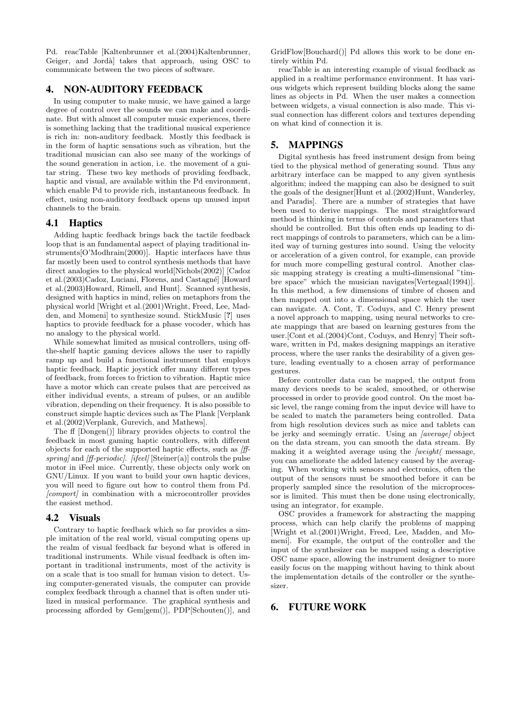Pd. reacTable [Kaltenbrunner et al.(2004)Kaltenbrunner, Geiger, and Jordà takes that approach, using OSC to communicate between the two pieces of software.

# 4. NON-AUDITORY FEEDBACK

In using computer to make music, we have gained a large degree of control over the sounds we can make and coordinate. But with almost all computer music experiences, there is something lacking that the traditional musical experience is rich in: non-auditory feedback. Mostly this feedback is in the form of haptic sensations such as vibration, but the traditional musician can also see many of the workings of the sound generation in action, i.e. the movement of a guitar string. These two key methods of providing feedback, haptic and visual, are available within the Pd environment, which enable Pd to provide rich, instantaneous feedback. In effect, using non-auditory feedback opens up unused input channels to the brain.

## 4.1 Haptics

Adding haptic feedback brings back the tactile feedback loop that is an fundamental aspect of playing traditional instruments[O'Modhrain(2000)]. Haptic interfaces have thus far mostly been used to control synthesis methods that have direct analogies to the physical world[Nichols(2002)] [Cadoz et al.(2003)Cadoz, Luciani, Florens, and Castagn´e] [Howard et al.(2003)Howard, Rimell, and Hunt]. Scanned synthesis, designed with haptics in mind, relies on metaphors from the physical world [Wright et al.(2001)Wright, Freed, Lee, Madden, and Momeni] to synthesize sound. StickMusic [?] uses haptics to provide feedback for a phase vocoder, which has no analogy to the physical world.

While somewhat limited as musical controllers, using offthe-shelf haptic gaming devices allows the user to rapidly ramp up and build a functional instrument that employs haptic feedback. Haptic joystick offer many different types of feedback, from forces to friction to vibration. Haptic mice have a motor which can create pulses that are perceived as either individual events, a stream of pulses, or an audible vibration, depending on their frequency. It is also possible to construct simple haptic devices such as The Plank [Verplank et al.(2002)Verplank, Gurevich, and Mathews].

The ff [Dongen()] library provides objects to control the feedback in most gaming haptic controllers, with different objects for each of the supported haptic effects, such as [ffspring] and [ff-periodic]. [ifeel]  $[Steiner(a)]$  controls the pulse motor in iFeel mice. Currently, these objects only work on GNU/Linux. If you want to build your own haptic devices, you will need to figure out how to control them from Pd. [comport] in combination with a microcontroller provides the easiest method.

# 4.2 Visuals

Contrary to haptic feedback which so far provides a simple imitation of the real world, visual computing opens up the realm of visual feedback far beyond what is offered in traditional instruments. While visual feedback is often important in traditional instruments, most of the activity is on a scale that is too small for human vision to detect. Using computer-generated visuals, the computer can provide complex feedback through a channel that is often under utilized in musical performance. The graphical synthesis and processing afforded by Gem[gem()], PDP[Schouten()], and

GridFlow[Bouchard()] Pd allows this work to be done entirely within Pd.

reacTable is an interesting example of visual feedback as applied in a realtime performance environment. It has various widgets which represent building blocks along the same lines as objects in Pd. When the user makes a connection between widgets, a visual connection is also made. This visual connection has different colors and textures depending on what kind of connection it is.

# 5. MAPPINGS

Digital synthesis has freed instrument design from being tied to the physical method of generating sound. Thus any arbitrary interface can be mapped to any given synthesis algorithm; indeed the mapping can also be designed to suit the goals of the designer[Hunt et al.(2002)Hunt, Wanderley, and Paradis]. There are a number of strategies that have been used to derive mappings. The most straightforward method is thinking in terms of controls and parameters that should be controlled. But this often ends up leading to direct mappings of controls to parameters, which can be a limited way of turning gestures into sound. Using the velocity or acceleration of a given control, for example, can provide for much more compelling gestural control. Another classic mapping strategy is creating a multi-dimensional "timbre space" which the musician navigates[Vertegaal(1994)]. In this method, a few dimensions of timbre of chosen and then mapped out into a dimensional space which the user can navigate. A. Cont, T. Coduys, and C. Henry present a novel approach to mapping, using neural networks to create mappings that are based on learning gestures from the user.[Cont et al.(2004)Cont, Coduys, and Henry] Their software, written in Pd, makes designing mappings an iterative process, where the user ranks the desirability of a given gesture, leading eventually to a chosen array of performance gestures.

Before controller data can be mapped, the output from many devices needs to be scaled, smoothed, or otherwise processed in order to provide good control. On the most basic level, the range coming from the input device will have to be scaled to match the parameters being controlled. Data from high resolution devices such as mice and tablets can be jerky and seemingly erratic. Using an *[average]* object on the data stream, you can smooth the data stream. By making it a weighted average using the  $\omega$ ight( message, you can ameliorate the added latency caused by the averaging. When working with sensors and electronics, often the output of the sensors must be smoothed before it can be properly sampled since the resolution of the microprocessor is limited. This must then be done using electronically, using an integrator, for example.

OSC provides a framework for abstracting the mapping process, which can help clarify the problems of mapping [Wright et al.(2001)Wright, Freed, Lee, Madden, and Momeni]. For example, the output of the controller and the input of the synthesizer can be mapped using a descriptive OSC name space, allowing the instrument designer to more easily focus on the mapping without having to think about the implementation details of the controller or the synthesizer.

# 6. FUTURE WORK